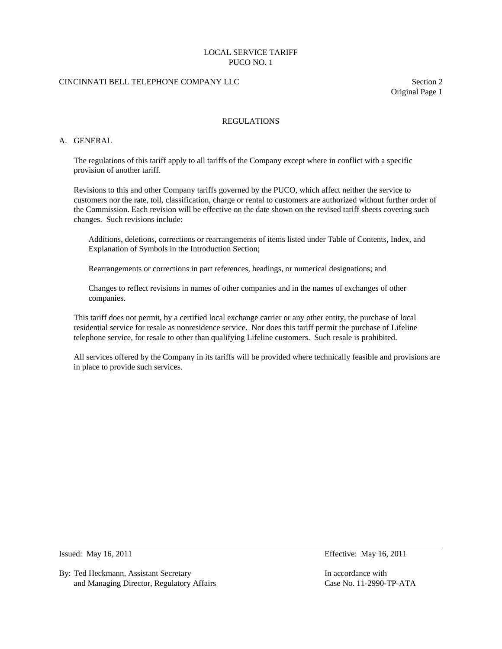# CINCINNATI BELL TELEPHONE COMPANY LLC Section 2

Original Page 1

### REGULATIONS

### A. GENERAL

 The regulations of this tariff apply to all tariffs of the Company except where in conflict with a specific provision of another tariff.

 Revisions to this and other Company tariffs governed by the PUCO, which affect neither the service to customers nor the rate, toll, classification, charge or rental to customers are authorized without further order of the Commission. Each revision will be effective on the date shown on the revised tariff sheets covering such changes. Such revisions include:

 Additions, deletions, corrections or rearrangements of items listed under Table of Contents, Index, and Explanation of Symbols in the Introduction Section;

Rearrangements or corrections in part references, headings, or numerical designations; and

 Changes to reflect revisions in names of other companies and in the names of exchanges of other companies.

 This tariff does not permit, by a certified local exchange carrier or any other entity, the purchase of local residential service for resale as nonresidence service. Nor does this tariff permit the purchase of Lifeline telephone service, for resale to other than qualifying Lifeline customers. Such resale is prohibited.

 All services offered by the Company in its tariffs will be provided where technically feasible and provisions are in place to provide such services.

 $\overline{a}$ 

By: Ted Heckmann, Assistant Secretary In accordance with In accordance with and Managing Director, Regulatory Affairs Case No. 11-2990-TP-ATA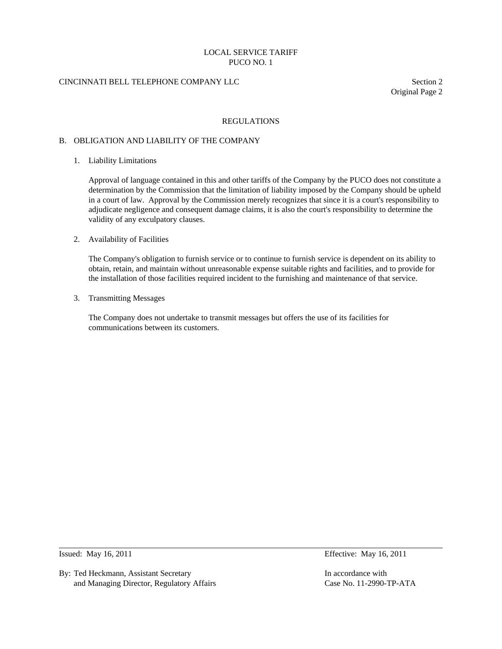# CINCINNATI BELL TELEPHONE COMPANY LLC Section 2

Original Page 2

### REGULATIONS

#### B. OBLIGATION AND LIABILITY OF THE COMPANY

1. Liability Limitations

 Approval of language contained in this and other tariffs of the Company by the PUCO does not constitute a determination by the Commission that the limitation of liability imposed by the Company should be upheld in a court of law. Approval by the Commission merely recognizes that since it is a court's responsibility to adjudicate negligence and consequent damage claims, it is also the court's responsibility to determine the validity of any exculpatory clauses.

### 2. Availability of Facilities

 The Company's obligation to furnish service or to continue to furnish service is dependent on its ability to obtain, retain, and maintain without unreasonable expense suitable rights and facilities, and to provide for the installation of those facilities required incident to the furnishing and maintenance of that service.

3. Transmitting Messages

 The Company does not undertake to transmit messages but offers the use of its facilities for communications between its customers.

 $\overline{a}$ 

By: Ted Heckmann, Assistant Secretary **In accordance with** In accordance with and Managing Director, Regulatory Affairs Case No. 11-2990-TP-ATA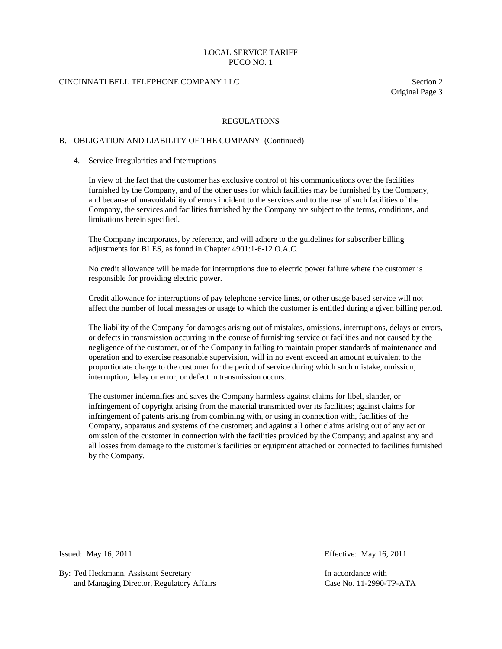# CINCINNATI BELL TELEPHONE COMPANY LLC Section 2

Original Page 3

### REGULATIONS

### B. OBLIGATION AND LIABILITY OF THE COMPANY (Continued)

#### 4. Service Irregularities and Interruptions

 In view of the fact that the customer has exclusive control of his communications over the facilities furnished by the Company, and of the other uses for which facilities may be furnished by the Company, and because of unavoidability of errors incident to the services and to the use of such facilities of the Company, the services and facilities furnished by the Company are subject to the terms, conditions, and limitations herein specified.

 The Company incorporates, by reference, and will adhere to the guidelines for subscriber billing adjustments for BLES, as found in Chapter 4901:1-6-12 O.A.C.

 No credit allowance will be made for interruptions due to electric power failure where the customer is responsible for providing electric power.

 Credit allowance for interruptions of pay telephone service lines, or other usage based service will not affect the number of local messages or usage to which the customer is entitled during a given billing period.

 The liability of the Company for damages arising out of mistakes, omissions, interruptions, delays or errors, or defects in transmission occurring in the course of furnishing service or facilities and not caused by the negligence of the customer, or of the Company in failing to maintain proper standards of maintenance and operation and to exercise reasonable supervision, will in no event exceed an amount equivalent to the proportionate charge to the customer for the period of service during which such mistake, omission, interruption, delay or error, or defect in transmission occurs.

 The customer indemnifies and saves the Company harmless against claims for libel, slander, or infringement of copyright arising from the material transmitted over its facilities; against claims for infringement of patents arising from combining with, or using in connection with, facilities of the Company, apparatus and systems of the customer; and against all other claims arising out of any act or omission of the customer in connection with the facilities provided by the Company; and against any and all losses from damage to the customer's facilities or equipment attached or connected to facilities furnished by the Company.

 $\overline{a}$ 

By: Ted Heckmann, Assistant Secretary In accordance with In accordance with and Managing Director, Regulatory Affairs Case No. 11-2990-TP-ATA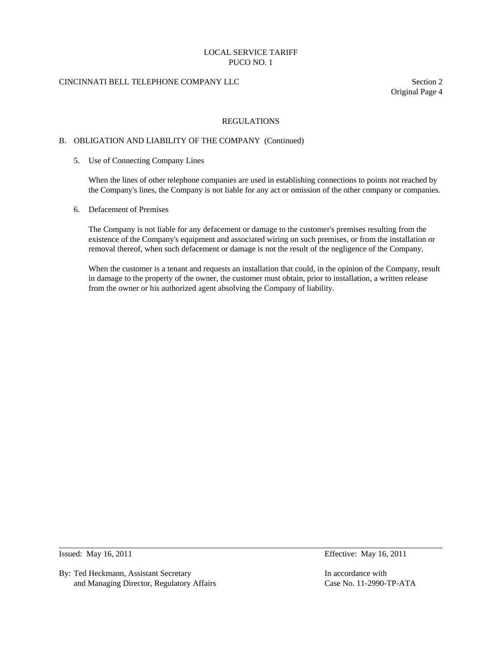# CINCINNATI BELL TELEPHONE COMPANY LLC Section 2

Original Page 4

### REGULATIONS

### B. OBLIGATION AND LIABILITY OF THE COMPANY (Continued)

5. Use of Connecting Company Lines

 When the lines of other telephone companies are used in establishing connections to points not reached by the Company's lines, the Company is not liable for any act or omission of the other company or companies.

6. Defacement of Premises

 The Company is not liable for any defacement or damage to the customer's premises resulting from the existence of the Company's equipment and associated wiring on such premises, or from the installation or removal thereof, when such defacement or damage is not the result of the negligence of the Company.

 When the customer is a tenant and requests an installation that could, in the opinion of the Company, result in damage to the property of the owner, the customer must obtain, prior to installation, a written release from the owner or his authorized agent absolving the Company of liability.

 $\overline{a}$ 

By: Ted Heckmann, Assistant Secretary **In accordance with** In accordance with and Managing Director, Regulatory Affairs Case No. 11-2990-TP-ATA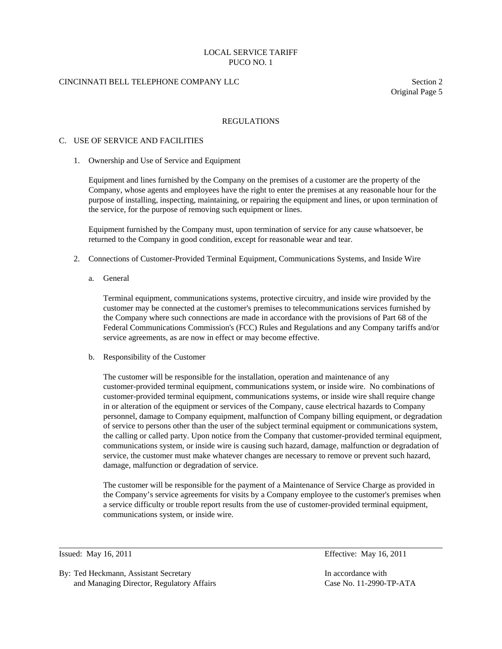# CINCINNATI BELL TELEPHONE COMPANY LLC Section 2

Original Page 5

### REGULATIONS

#### C. USE OF SERVICE AND FACILITIES

1. Ownership and Use of Service and Equipment

 Equipment and lines furnished by the Company on the premises of a customer are the property of the Company, whose agents and employees have the right to enter the premises at any reasonable hour for the purpose of installing, inspecting, maintaining, or repairing the equipment and lines, or upon termination of the service, for the purpose of removing such equipment or lines.

 Equipment furnished by the Company must, upon termination of service for any cause whatsoever, be returned to the Company in good condition, except for reasonable wear and tear.

- 2. Connections of Customer-Provided Terminal Equipment, Communications Systems, and Inside Wire
	- a. General

 Terminal equipment, communications systems, protective circuitry, and inside wire provided by the customer may be connected at the customer's premises to telecommunications services furnished by the Company where such connections are made in accordance with the provisions of Part 68 of the Federal Communications Commission's (FCC) Rules and Regulations and any Company tariffs and/or service agreements, as are now in effect or may become effective.

b. Responsibility of the Customer

 The customer will be responsible for the installation, operation and maintenance of any customer-provided terminal equipment, communications system, or inside wire. No combinations of customer-provided terminal equipment, communications systems, or inside wire shall require change in or alteration of the equipment or services of the Company, cause electrical hazards to Company personnel, damage to Company equipment, malfunction of Company billing equipment, or degradation of service to persons other than the user of the subject terminal equipment or communications system, the calling or called party. Upon notice from the Company that customer-provided terminal equipment, communications system, or inside wire is causing such hazard, damage, malfunction or degradation of service, the customer must make whatever changes are necessary to remove or prevent such hazard, damage, malfunction or degradation of service.

 The customer will be responsible for the payment of a Maintenance of Service Charge as provided in the Company's service agreements for visits by a Company employee to the customer's premises when a service difficulty or trouble report results from the use of customer-provided terminal equipment, communications system, or inside wire.

l

By: Ted Heckmann, Assistant Secretary In accordance with In accordance with and Managing Director, Regulatory Affairs Case No. 11-2990-TP-ATA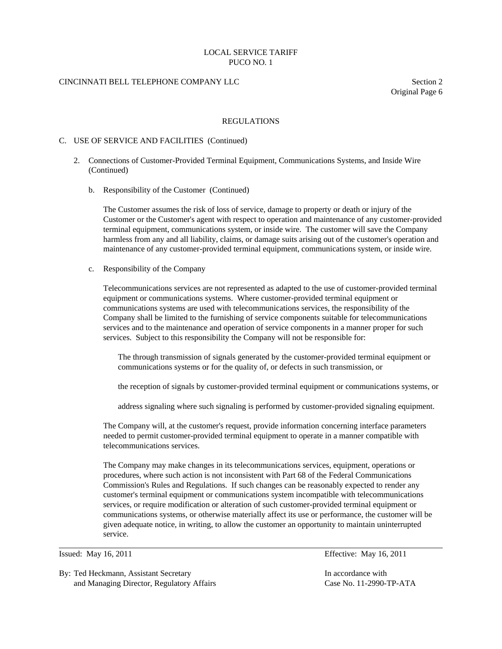### CINCINNATI BELL TELEPHONE COMPANY LLC Section 2

Original Page 6

#### REGULATIONS

### C. USE OF SERVICE AND FACILITIES (Continued)

- 2. Connections of Customer-Provided Terminal Equipment, Communications Systems, and Inside Wire (Continued)
	- b. Responsibility of the Customer (Continued)

 The Customer assumes the risk of loss of service, damage to property or death or injury of the Customer or the Customer's agent with respect to operation and maintenance of any customer-provided terminal equipment, communications system, or inside wire. The customer will save the Company harmless from any and all liability, claims, or damage suits arising out of the customer's operation and maintenance of any customer-provided terminal equipment, communications system, or inside wire.

c. Responsibility of the Company

 Telecommunications services are not represented as adapted to the use of customer-provided terminal equipment or communications systems. Where customer-provided terminal equipment or communications systems are used with telecommunications services, the responsibility of the Company shall be limited to the furnishing of service components suitable for telecommunications services and to the maintenance and operation of service components in a manner proper for such services. Subject to this responsibility the Company will not be responsible for:

 The through transmission of signals generated by the customer-provided terminal equipment or communications systems or for the quality of, or defects in such transmission, or

the reception of signals by customer-provided terminal equipment or communications systems, or

address signaling where such signaling is performed by customer-provided signaling equipment.

 The Company will, at the customer's request, provide information concerning interface parameters needed to permit customer-provided terminal equipment to operate in a manner compatible with telecommunications services.

 The Company may make changes in its telecommunications services, equipment, operations or procedures, where such action is not inconsistent with Part 68 of the Federal Communications Commission's Rules and Regulations. If such changes can be reasonably expected to render any customer's terminal equipment or communications system incompatible with telecommunications services, or require modification or alteration of such customer-provided terminal equipment or communications systems, or otherwise materially affect its use or performance, the customer will be given adequate notice, in writing, to allow the customer an opportunity to maintain uninterrupted service.

 $\overline{a}$ 

By: Ted Heckmann, Assistant Secretary In accordance with In accordance with and Managing Director, Regulatory Affairs Case No. 11-2990-TP-ATA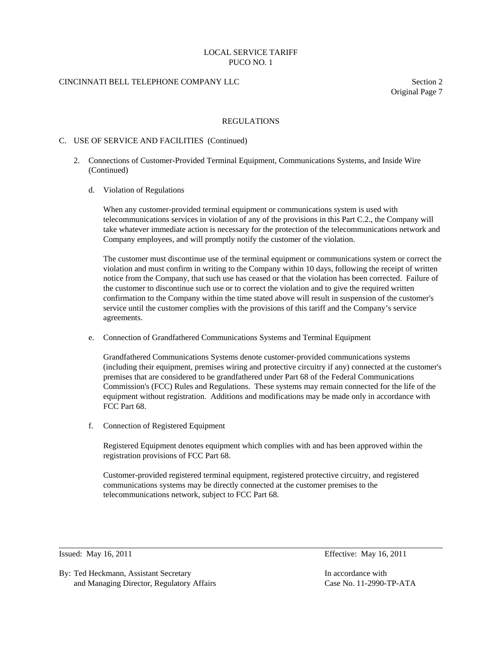## CINCINNATI BELL TELEPHONE COMPANY LLC Section 2

Original Page 7

### REGULATIONS

#### C. USE OF SERVICE AND FACILITIES (Continued)

- 2. Connections of Customer-Provided Terminal Equipment, Communications Systems, and Inside Wire (Continued)
	- d. Violation of Regulations

 When any customer-provided terminal equipment or communications system is used with telecommunications services in violation of any of the provisions in this Part C.2., the Company will take whatever immediate action is necessary for the protection of the telecommunications network and Company employees, and will promptly notify the customer of the violation.

 The customer must discontinue use of the terminal equipment or communications system or correct the violation and must confirm in writing to the Company within 10 days, following the receipt of written notice from the Company, that such use has ceased or that the violation has been corrected. Failure of the customer to discontinue such use or to correct the violation and to give the required written confirmation to the Company within the time stated above will result in suspension of the customer's service until the customer complies with the provisions of this tariff and the Company's service agreements.

e. Connection of Grandfathered Communications Systems and Terminal Equipment

 Grandfathered Communications Systems denote customer-provided communications systems (including their equipment, premises wiring and protective circuitry if any) connected at the customer's premises that are considered to be grandfathered under Part 68 of the Federal Communications Commission's (FCC) Rules and Regulations. These systems may remain connected for the life of the equipment without registration. Additions and modifications may be made only in accordance with FCC Part 68.

f. Connection of Registered Equipment

 Registered Equipment denotes equipment which complies with and has been approved within the registration provisions of FCC Part 68.

 Customer-provided registered terminal equipment, registered protective circuitry, and registered communications systems may be directly connected at the customer premises to the telecommunications network, subject to FCC Part 68.

 $\overline{a}$ 

Issued: May 16, 2011 Effective: May 16, 2011

By: Ted Heckmann, Assistant Secretary In accordance with In accordance with and Managing Director, Regulatory Affairs Case No. 11-2990-TP-ATA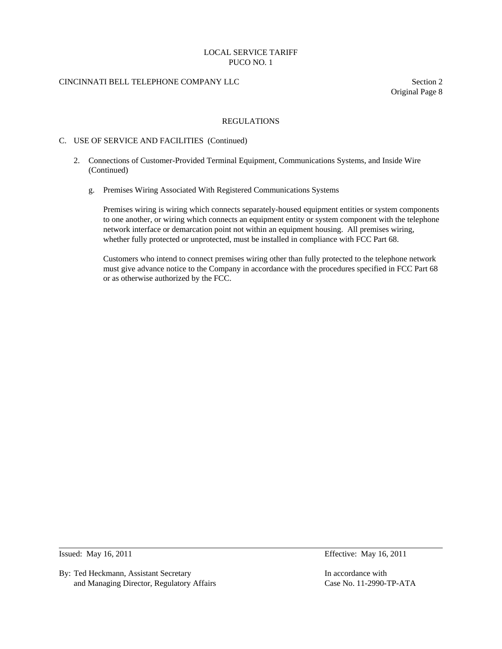# CINCINNATI BELL TELEPHONE COMPANY LLC Section 2

Original Page 8

### REGULATIONS

### C. USE OF SERVICE AND FACILITIES (Continued)

- 2. Connections of Customer-Provided Terminal Equipment, Communications Systems, and Inside Wire (Continued)
	- g. Premises Wiring Associated With Registered Communications Systems

 Premises wiring is wiring which connects separately-housed equipment entities or system components to one another, or wiring which connects an equipment entity or system component with the telephone network interface or demarcation point not within an equipment housing. All premises wiring, whether fully protected or unprotected, must be installed in compliance with FCC Part 68.

 Customers who intend to connect premises wiring other than fully protected to the telephone network must give advance notice to the Company in accordance with the procedures specified in FCC Part 68 or as otherwise authorized by the FCC.

 $\overline{a}$ 

By: Ted Heckmann, Assistant Secretary **In accordance with** In accordance with and Managing Director, Regulatory Affairs Case No. 11-2990-TP-ATA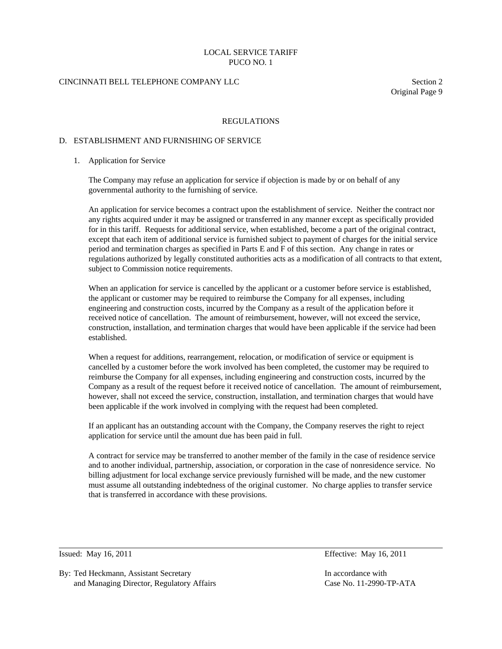### CINCINNATI BELL TELEPHONE COMPANY LLC Section 2

Original Page 9

#### REGULATIONS

#### D. ESTABLISHMENT AND FURNISHING OF SERVICE

#### 1. Application for Service

 The Company may refuse an application for service if objection is made by or on behalf of any governmental authority to the furnishing of service.

 An application for service becomes a contract upon the establishment of service. Neither the contract nor any rights acquired under it may be assigned or transferred in any manner except as specifically provided for in this tariff. Requests for additional service, when established, become a part of the original contract, except that each item of additional service is furnished subject to payment of charges for the initial service period and termination charges as specified in Parts E and F of this section. Any change in rates or regulations authorized by legally constituted authorities acts as a modification of all contracts to that extent, subject to Commission notice requirements.

 When an application for service is cancelled by the applicant or a customer before service is established, the applicant or customer may be required to reimburse the Company for all expenses, including engineering and construction costs, incurred by the Company as a result of the application before it received notice of cancellation. The amount of reimbursement, however, will not exceed the service, construction, installation, and termination charges that would have been applicable if the service had been established.

 When a request for additions, rearrangement, relocation, or modification of service or equipment is cancelled by a customer before the work involved has been completed, the customer may be required to reimburse the Company for all expenses, including engineering and construction costs, incurred by the Company as a result of the request before it received notice of cancellation. The amount of reimbursement, however, shall not exceed the service, construction, installation, and termination charges that would have been applicable if the work involved in complying with the request had been completed.

 If an applicant has an outstanding account with the Company, the Company reserves the right to reject application for service until the amount due has been paid in full.

 A contract for service may be transferred to another member of the family in the case of residence service and to another individual, partnership, association, or corporation in the case of nonresidence service. No billing adjustment for local exchange service previously furnished will be made, and the new customer must assume all outstanding indebtedness of the original customer. No charge applies to transfer service that is transferred in accordance with these provisions.

 $\overline{a}$ 

Issued: May 16, 2011 Effective: May 16, 2011

By: Ted Heckmann, Assistant Secretary In accordance with In accordance with and Managing Director, Regulatory Affairs Case No. 11-2990-TP-ATA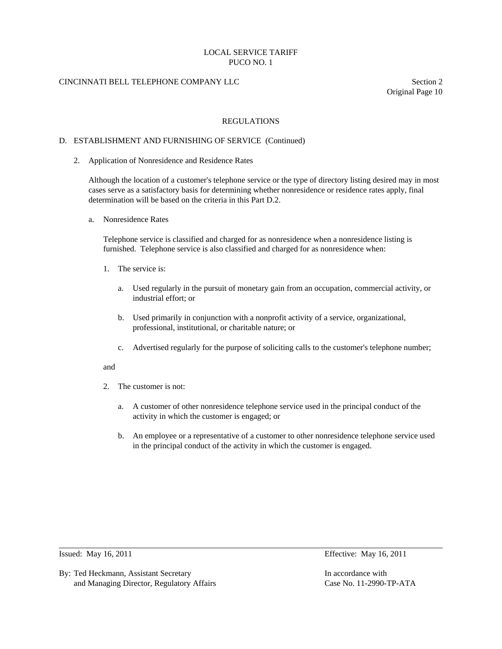# CINCINNATI BELL TELEPHONE COMPANY LLC Section 2

Original Page 10

### REGULATIONS

### D. ESTABLISHMENT AND FURNISHING OF SERVICE (Continued)

2. Application of Nonresidence and Residence Rates

 Although the location of a customer's telephone service or the type of directory listing desired may in most cases serve as a satisfactory basis for determining whether nonresidence or residence rates apply, final determination will be based on the criteria in this Part D.2.

a. Nonresidence Rates

 Telephone service is classified and charged for as nonresidence when a nonresidence listing is furnished. Telephone service is also classified and charged for as nonresidence when:

- 1. The service is:
	- a. Used regularly in the pursuit of monetary gain from an occupation, commercial activity, or industrial effort; or
	- b. Used primarily in conjunction with a nonprofit activity of a service, organizational, professional, institutional, or charitable nature; or
	- c. Advertised regularly for the purpose of soliciting calls to the customer's telephone number;

#### and

- 2. The customer is not:
	- a. A customer of other nonresidence telephone service used in the principal conduct of the activity in which the customer is engaged; or
	- b. An employee or a representative of a customer to other nonresidence telephone service used in the principal conduct of the activity in which the customer is engaged.

 $\overline{a}$ 

By: Ted Heckmann, Assistant Secretary **In accordance with** In accordance with and Managing Director, Regulatory Affairs Case No. 11-2990-TP-ATA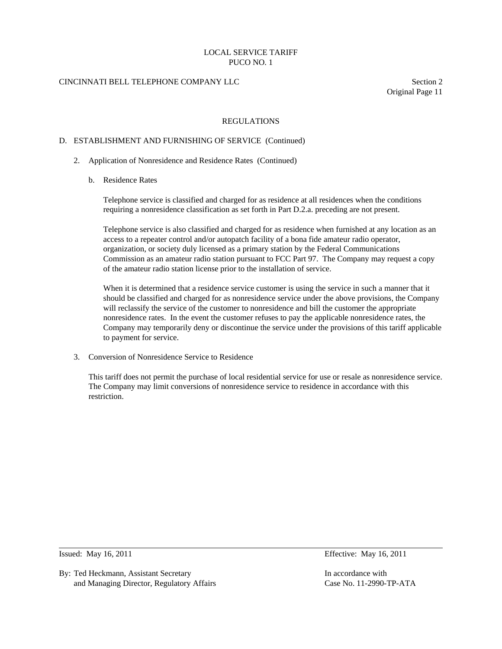# CINCINNATI BELL TELEPHONE COMPANY LLC Section 2

Original Page 11

### REGULATIONS

### D. ESTABLISHMENT AND FURNISHING OF SERVICE (Continued)

- 2. Application of Nonresidence and Residence Rates (Continued)
	- b. Residence Rates

 Telephone service is classified and charged for as residence at all residences when the conditions requiring a nonresidence classification as set forth in Part D.2.a. preceding are not present.

 Telephone service is also classified and charged for as residence when furnished at any location as an access to a repeater control and/or autopatch facility of a bona fide amateur radio operator, organization, or society duly licensed as a primary station by the Federal Communications Commission as an amateur radio station pursuant to FCC Part 97. The Company may request a copy of the amateur radio station license prior to the installation of service.

 When it is determined that a residence service customer is using the service in such a manner that it should be classified and charged for as nonresidence service under the above provisions, the Company will reclassify the service of the customer to nonresidence and bill the customer the appropriate nonresidence rates. In the event the customer refuses to pay the applicable nonresidence rates, the Company may temporarily deny or discontinue the service under the provisions of this tariff applicable to payment for service.

3. Conversion of Nonresidence Service to Residence

 This tariff does not permit the purchase of local residential service for use or resale as nonresidence service. The Company may limit conversions of nonresidence service to residence in accordance with this restriction.

 $\overline{a}$ 

By: Ted Heckmann, Assistant Secretary In accordance with In accordance with and Managing Director, Regulatory Affairs Case No. 11-2990-TP-ATA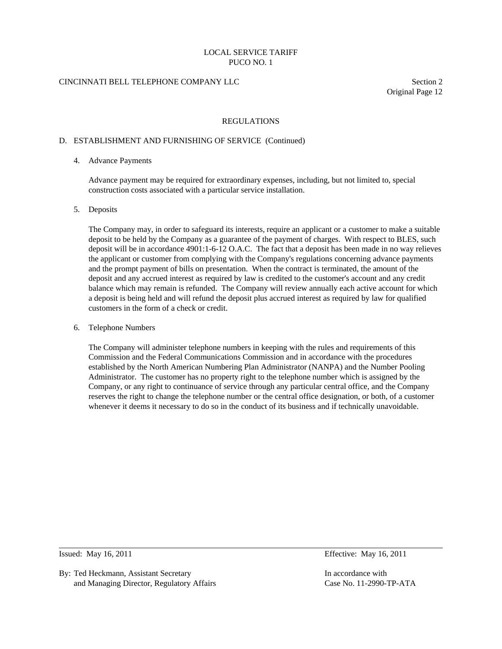# CINCINNATI BELL TELEPHONE COMPANY LLC Section 2

Original Page 12

### REGULATIONS

### D. ESTABLISHMENT AND FURNISHING OF SERVICE (Continued)

### 4. Advance Payments

 Advance payment may be required for extraordinary expenses, including, but not limited to, special construction costs associated with a particular service installation.

### 5. Deposits

 The Company may, in order to safeguard its interests, require an applicant or a customer to make a suitable deposit to be held by the Company as a guarantee of the payment of charges. With respect to BLES, such deposit will be in accordance 4901:1-6-12 O.A.C. The fact that a deposit has been made in no way relieves the applicant or customer from complying with the Company's regulations concerning advance payments and the prompt payment of bills on presentation. When the contract is terminated, the amount of the deposit and any accrued interest as required by law is credited to the customer's account and any credit balance which may remain is refunded. The Company will review annually each active account for which a deposit is being held and will refund the deposit plus accrued interest as required by law for qualified customers in the form of a check or credit.

#### 6. Telephone Numbers

 The Company will administer telephone numbers in keeping with the rules and requirements of this Commission and the Federal Communications Commission and in accordance with the procedures established by the North American Numbering Plan Administrator (NANPA) and the Number Pooling Administrator. The customer has no property right to the telephone number which is assigned by the Company, or any right to continuance of service through any particular central office, and the Company reserves the right to change the telephone number or the central office designation, or both, of a customer whenever it deems it necessary to do so in the conduct of its business and if technically unavoidable.

 $\overline{a}$ 

By: Ted Heckmann, Assistant Secretary **In accordance with** In accordance with and Managing Director, Regulatory Affairs Case No. 11-2990-TP-ATA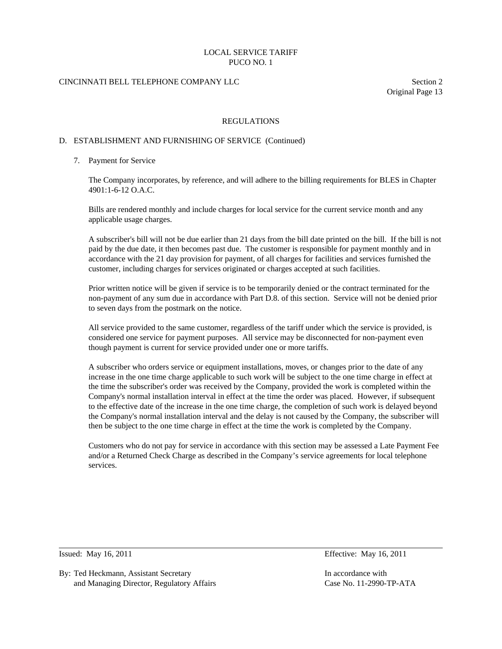# CINCINNATI BELL TELEPHONE COMPANY LLC Section 2

Original Page 13

### REGULATIONS

### D. ESTABLISHMENT AND FURNISHING OF SERVICE (Continued)

### 7. Payment for Service

 The Company incorporates, by reference, and will adhere to the billing requirements for BLES in Chapter 4901:1-6-12 O.A.C.

 Bills are rendered monthly and include charges for local service for the current service month and any applicable usage charges.

 A subscriber's bill will not be due earlier than 21 days from the bill date printed on the bill. If the bill is not paid by the due date, it then becomes past due. The customer is responsible for payment monthly and in accordance with the 21 day provision for payment, of all charges for facilities and services furnished the customer, including charges for services originated or charges accepted at such facilities.

 Prior written notice will be given if service is to be temporarily denied or the contract terminated for the non-payment of any sum due in accordance with Part D.8. of this section. Service will not be denied prior to seven days from the postmark on the notice.

 All service provided to the same customer, regardless of the tariff under which the service is provided, is considered one service for payment purposes. All service may be disconnected for non-payment even though payment is current for service provided under one or more tariffs.

 A subscriber who orders service or equipment installations, moves, or changes prior to the date of any increase in the one time charge applicable to such work will be subject to the one time charge in effect at the time the subscriber's order was received by the Company, provided the work is completed within the Company's normal installation interval in effect at the time the order was placed. However, if subsequent to the effective date of the increase in the one time charge, the completion of such work is delayed beyond the Company's normal installation interval and the delay is not caused by the Company, the subscriber will then be subject to the one time charge in effect at the time the work is completed by the Company.

 Customers who do not pay for service in accordance with this section may be assessed a Late Payment Fee and/or a Returned Check Charge as described in the Company's service agreements for local telephone services.

 $\overline{a}$ 

By: Ted Heckmann, Assistant Secretary **In accordance with** In accordance with and Managing Director, Regulatory Affairs Case No. 11-2990-TP-ATA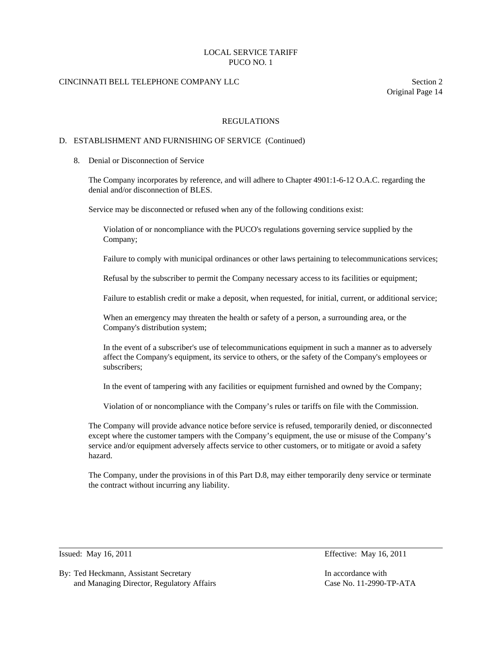# CINCINNATI BELL TELEPHONE COMPANY LLC Section 2

Original Page 14

### REGULATIONS

### D. ESTABLISHMENT AND FURNISHING OF SERVICE (Continued)

8. Denial or Disconnection of Service

 The Company incorporates by reference, and will adhere to Chapter 4901:1-6-12 O.A.C. regarding the denial and/or disconnection of BLES.

Service may be disconnected or refused when any of the following conditions exist:

 Violation of or noncompliance with the PUCO's regulations governing service supplied by the Company;

Failure to comply with municipal ordinances or other laws pertaining to telecommunications services;

Refusal by the subscriber to permit the Company necessary access to its facilities or equipment;

Failure to establish credit or make a deposit, when requested, for initial, current, or additional service;

 When an emergency may threaten the health or safety of a person, a surrounding area, or the Company's distribution system;

 In the event of a subscriber's use of telecommunications equipment in such a manner as to adversely affect the Company's equipment, its service to others, or the safety of the Company's employees or subscribers;

In the event of tampering with any facilities or equipment furnished and owned by the Company;

Violation of or noncompliance with the Company's rules or tariffs on file with the Commission.

 The Company will provide advance notice before service is refused, temporarily denied, or disconnected except where the customer tampers with the Company's equipment, the use or misuse of the Company's service and/or equipment adversely affects service to other customers, or to mitigate or avoid a safety hazard.

 The Company, under the provisions in of this Part D.8, may either temporarily deny service or terminate the contract without incurring any liability.

 $\overline{a}$ 

Issued: May 16, 2011 Effective: May 16, 2011

By: Ted Heckmann, Assistant Secretary **In accordance with** In accordance with and Managing Director, Regulatory Affairs Case No. 11-2990-TP-ATA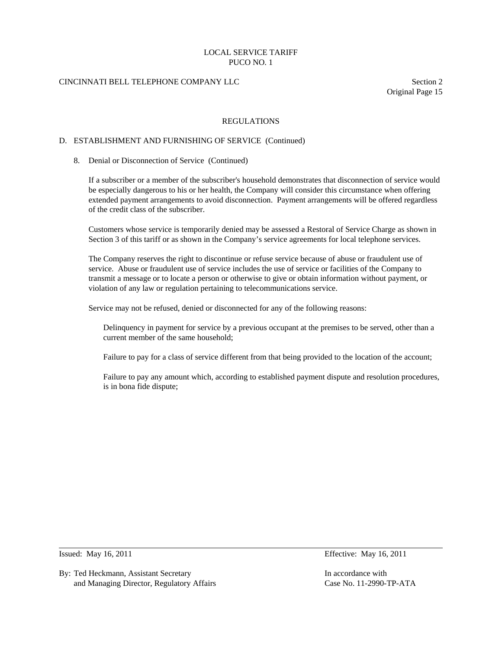# CINCINNATI BELL TELEPHONE COMPANY LLC Section 2

Original Page 15

### REGULATIONS

### D. ESTABLISHMENT AND FURNISHING OF SERVICE (Continued)

#### 8. Denial or Disconnection of Service (Continued)

 If a subscriber or a member of the subscriber's household demonstrates that disconnection of service would be especially dangerous to his or her health, the Company will consider this circumstance when offering extended payment arrangements to avoid disconnection. Payment arrangements will be offered regardless of the credit class of the subscriber.

 Customers whose service is temporarily denied may be assessed a Restoral of Service Charge as shown in Section 3 of this tariff or as shown in the Company's service agreements for local telephone services.

 The Company reserves the right to discontinue or refuse service because of abuse or fraudulent use of service. Abuse or fraudulent use of service includes the use of service or facilities of the Company to transmit a message or to locate a person or otherwise to give or obtain information without payment, or violation of any law or regulation pertaining to telecommunications service.

Service may not be refused, denied or disconnected for any of the following reasons:

 Delinquency in payment for service by a previous occupant at the premises to be served, other than a current member of the same household;

Failure to pay for a class of service different from that being provided to the location of the account;

 Failure to pay any amount which, according to established payment dispute and resolution procedures, is in bona fide dispute;

 $\overline{a}$ 

By: Ted Heckmann, Assistant Secretary In accordance with In accordance with and Managing Director, Regulatory Affairs Case No. 11-2990-TP-ATA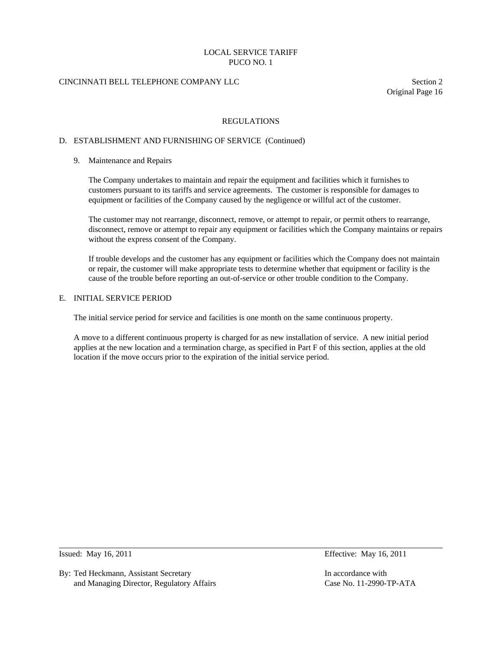# CINCINNATI BELL TELEPHONE COMPANY LLC Section 2

Original Page 16

### REGULATIONS

### D. ESTABLISHMENT AND FURNISHING OF SERVICE (Continued)

### 9. Maintenance and Repairs

 The Company undertakes to maintain and repair the equipment and facilities which it furnishes to customers pursuant to its tariffs and service agreements. The customer is responsible for damages to equipment or facilities of the Company caused by the negligence or willful act of the customer.

 The customer may not rearrange, disconnect, remove, or attempt to repair, or permit others to rearrange, disconnect, remove or attempt to repair any equipment or facilities which the Company maintains or repairs without the express consent of the Company.

 If trouble develops and the customer has any equipment or facilities which the Company does not maintain or repair, the customer will make appropriate tests to determine whether that equipment or facility is the cause of the trouble before reporting an out-of-service or other trouble condition to the Company.

### E. INITIAL SERVICE PERIOD

The initial service period for service and facilities is one month on the same continuous property.

 A move to a different continuous property is charged for as new installation of service. A new initial period applies at the new location and a termination charge, as specified in Part F of this section, applies at the old location if the move occurs prior to the expiration of the initial service period.

 $\overline{a}$ 

By: Ted Heckmann, Assistant Secretary In accordance with In accordance with and Managing Director, Regulatory Affairs Case No. 11-2990-TP-ATA